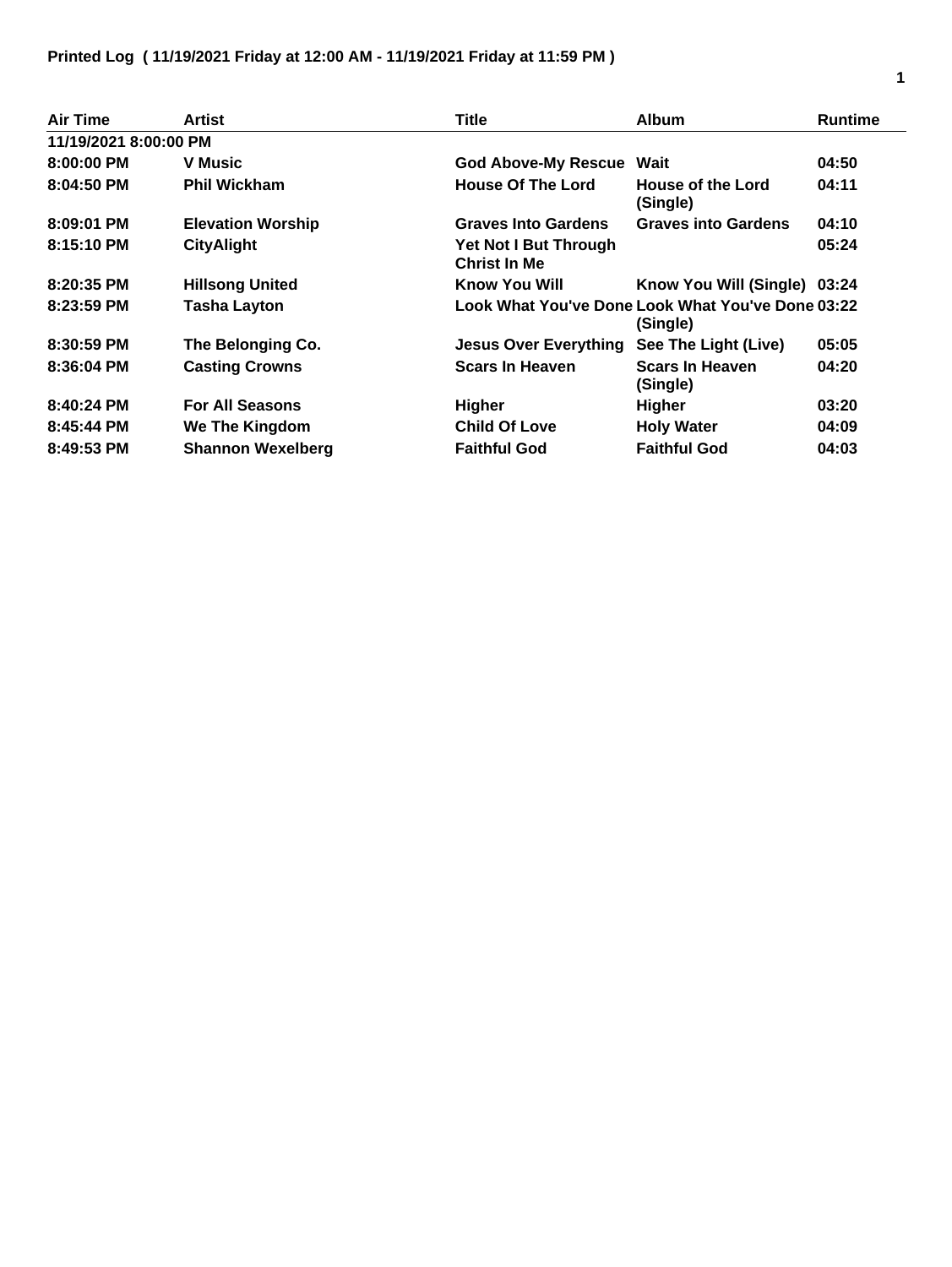## **Printed Log ( 11/19/2021 Friday at 12:00 AM - 11/19/2021 Friday at 11:59 PM )**

| <b>Air Time</b>       | Artist                   | Title                                        | <b>Album</b>                                                  | <b>Runtime</b> |
|-----------------------|--------------------------|----------------------------------------------|---------------------------------------------------------------|----------------|
| 11/19/2021 8:00:00 PM |                          |                                              |                                                               |                |
| $8:00:00$ PM          | <b>V</b> Music           | <b>God Above-My Rescue Wait</b>              |                                                               | 04:50          |
| $8:04:50$ PM          | <b>Phil Wickham</b>      | <b>House Of The Lord</b>                     | House of the Lord<br>(Single)                                 | 04:11          |
| 8:09:01 PM            | <b>Elevation Worship</b> | <b>Graves Into Gardens</b>                   | <b>Graves into Gardens</b>                                    | 04:10          |
| 8:15:10 PM            | <b>CityAlight</b>        | Yet Not I But Through<br><b>Christ In Me</b> |                                                               | 05:24          |
| 8:20:35 PM            | <b>Hillsong United</b>   | <b>Know You Will</b>                         | Know You Will (Single) 03:24                                  |                |
| $8:23:59$ PM          | <b>Tasha Layton</b>      |                                              | Look What You've Done Look What You've Done 03:22<br>(Single) |                |
| 8:30:59 PM            | The Belonging Co.        | <b>Jesus Over Everything</b>                 | See The Light (Live)                                          | 05:05          |
| $8:36:04$ PM          | <b>Casting Crowns</b>    | <b>Scars In Heaven</b>                       | <b>Scars In Heaven</b><br>(Single)                            | 04:20          |
| 8:40:24 PM            | <b>For All Seasons</b>   | Higher                                       | <b>Higher</b>                                                 | 03:20          |
| 8:45:44 PM            | We The Kingdom           | <b>Child Of Love</b>                         | <b>Holy Water</b>                                             | 04:09          |
| 8:49:53 PM            | <b>Shannon Wexelberg</b> | <b>Faithful God</b>                          | <b>Faithful God</b>                                           | 04:03          |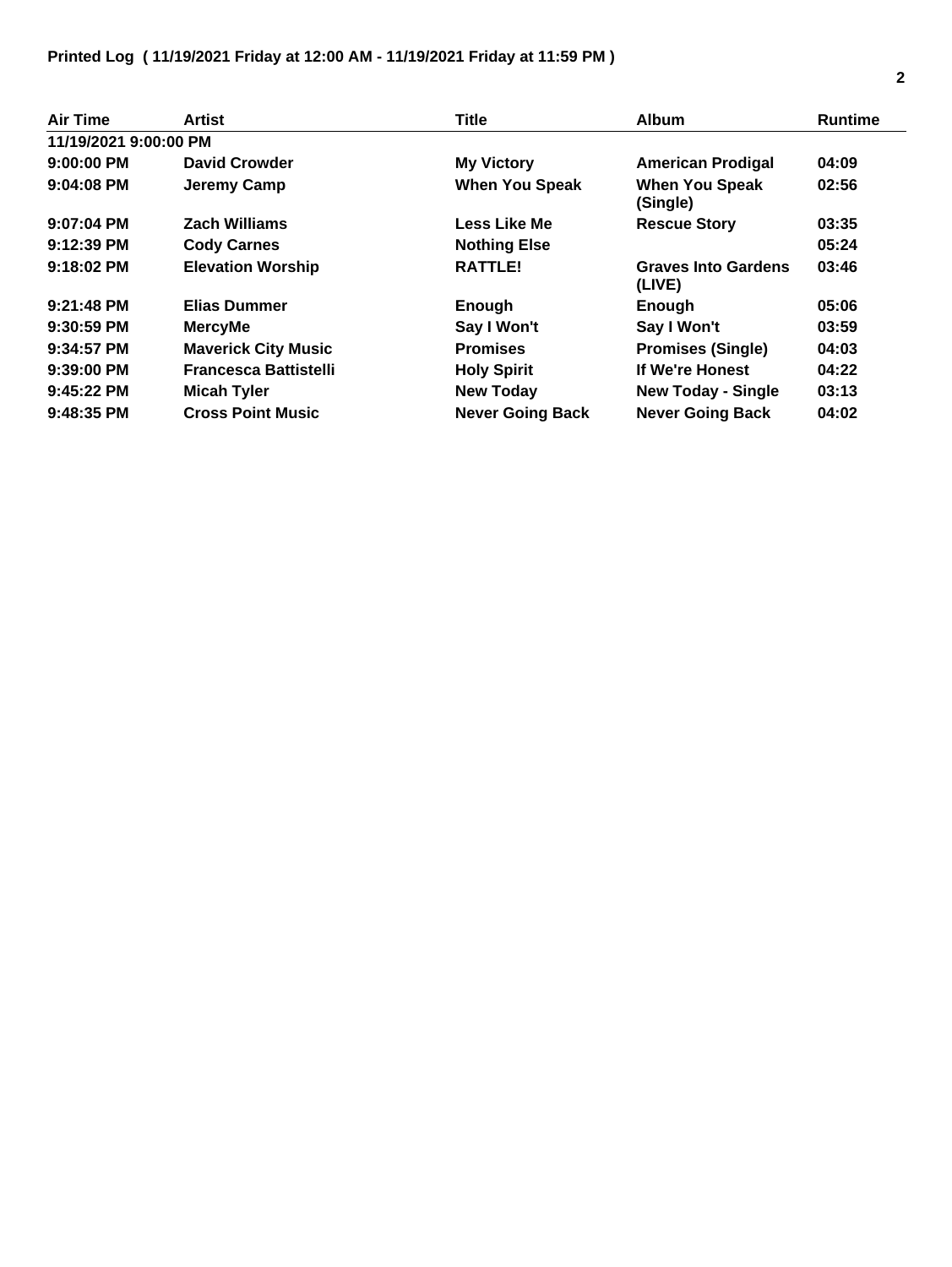## **Printed Log ( 11/19/2021 Friday at 12:00 AM - 11/19/2021 Friday at 11:59 PM )**

| Air Time              | Artist                       | <b>Title</b>            | <b>Album</b>                         | <b>Runtime</b> |
|-----------------------|------------------------------|-------------------------|--------------------------------------|----------------|
| 11/19/2021 9:00:00 PM |                              |                         |                                      |                |
| $9:00:00$ PM          | <b>David Crowder</b>         | <b>My Victory</b>       | <b>American Prodigal</b>             | 04:09          |
| $9:04:08$ PM          | Jeremy Camp                  | <b>When You Speak</b>   | <b>When You Speak</b><br>(Single)    | 02:56          |
| $9:07:04$ PM          | <b>Zach Williams</b>         | Less Like Me            | <b>Rescue Story</b>                  | 03:35          |
| $9:12:39$ PM          | <b>Cody Carnes</b>           | <b>Nothing Else</b>     |                                      | 05:24          |
| $9:18:02$ PM          | <b>Elevation Worship</b>     | <b>RATTLE!</b>          | <b>Graves Into Gardens</b><br>(LIVE) | 03:46          |
| $9:21:48$ PM          | <b>Elias Dummer</b>          | Enough                  | Enough                               | 05:06          |
| $9:30:59$ PM          | <b>MercyMe</b>               | Say I Won't             | Say I Won't                          | 03:59          |
| 9:34:57 PM            | <b>Maverick City Music</b>   | <b>Promises</b>         | <b>Promises (Single)</b>             | 04:03          |
| $9:39:00$ PM          | <b>Francesca Battistelli</b> | <b>Holy Spirit</b>      | If We're Honest                      | 04:22          |
| $9:45:22$ PM          | <b>Micah Tyler</b>           | <b>New Today</b>        | <b>New Today - Single</b>            | 03:13          |
| $9:48:35$ PM          | <b>Cross Point Music</b>     | <b>Never Going Back</b> | <b>Never Going Back</b>              | 04:02          |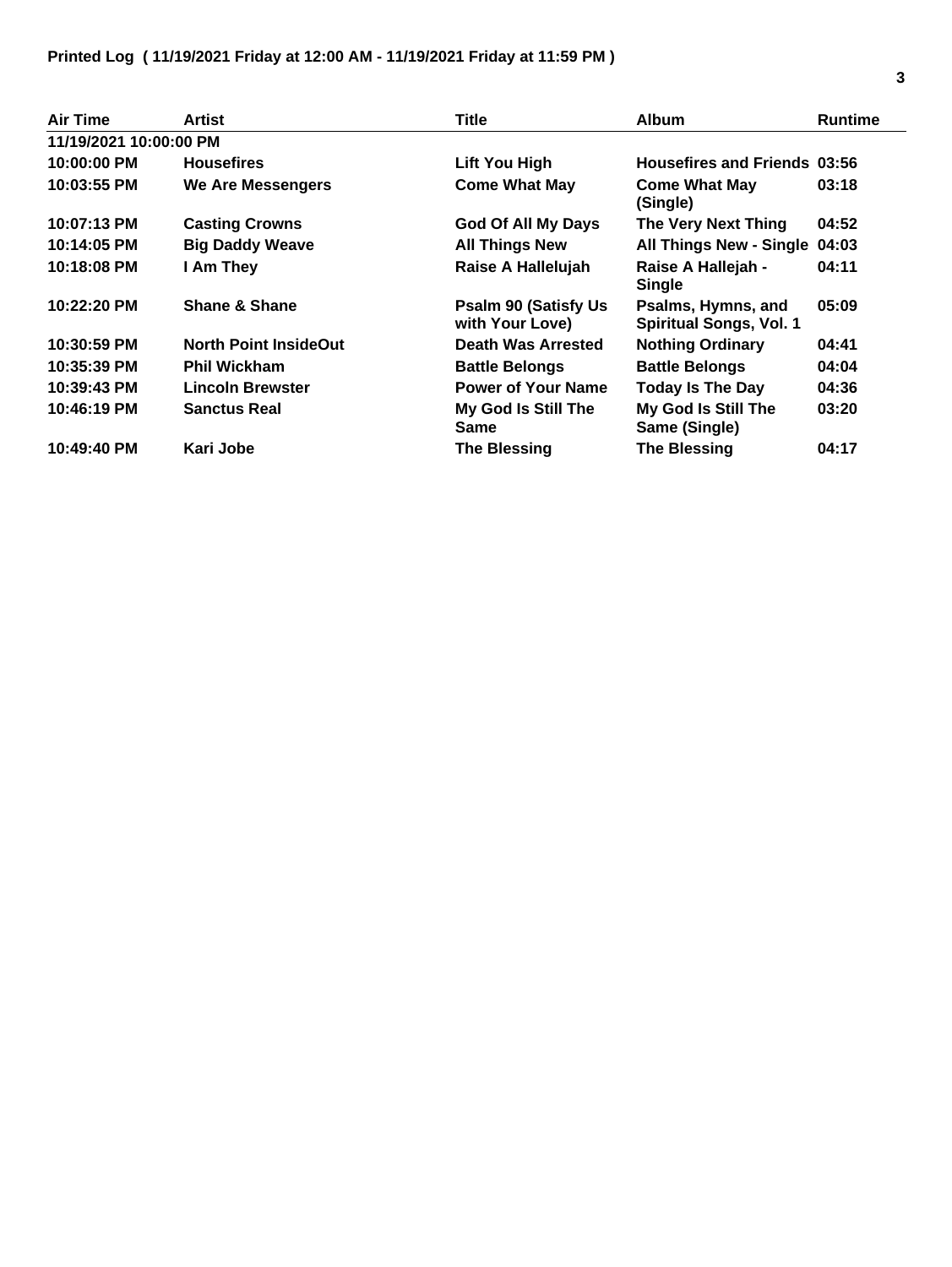## **Printed Log ( 11/19/2021 Friday at 12:00 AM - 11/19/2021 Friday at 11:59 PM )**

| <b>Air Time</b>        | Artist                       | Title                                           | <b>Album</b>                                         | <b>Runtime</b> |
|------------------------|------------------------------|-------------------------------------------------|------------------------------------------------------|----------------|
| 11/19/2021 10:00:00 PM |                              |                                                 |                                                      |                |
| 10:00:00 PM            | <b>Housefires</b>            | Lift You High                                   | <b>Housefires and Friends 03:56</b>                  |                |
| 10:03:55 PM            | We Are Messengers            | <b>Come What May</b>                            | <b>Come What May</b><br>(Single)                     | 03:18          |
| 10:07:13 PM            | <b>Casting Crowns</b>        | God Of All My Days                              | The Very Next Thing                                  | 04:52          |
| 10:14:05 PM            | <b>Big Daddy Weave</b>       | <b>All Things New</b>                           | All Things New - Single 04:03                        |                |
| 10:18:08 PM            | I Am They                    | Raise A Hallelujah                              | Raise A Hallejah -<br><b>Single</b>                  | 04:11          |
| 10:22:20 PM            | <b>Shane &amp; Shane</b>     | <b>Psalm 90 (Satisfy Us)</b><br>with Your Love) | Psalms, Hymns, and<br><b>Spiritual Songs, Vol. 1</b> | 05:09          |
| 10:30:59 PM            | <b>North Point InsideOut</b> | <b>Death Was Arrested</b>                       | <b>Nothing Ordinary</b>                              | 04:41          |
| 10:35:39 PM            | <b>Phil Wickham</b>          | <b>Battle Belongs</b>                           | <b>Battle Belongs</b>                                | 04:04          |
| 10:39:43 PM            | <b>Lincoln Brewster</b>      | <b>Power of Your Name</b>                       | <b>Today Is The Day</b>                              | 04:36          |
| 10:46:19 PM            | <b>Sanctus Real</b>          | My God Is Still The<br><b>Same</b>              | My God Is Still The<br>Same (Single)                 | 03:20          |
| 10:49:40 PM            | Kari Jobe                    | <b>The Blessing</b>                             | <b>The Blessing</b>                                  | 04:17          |

L